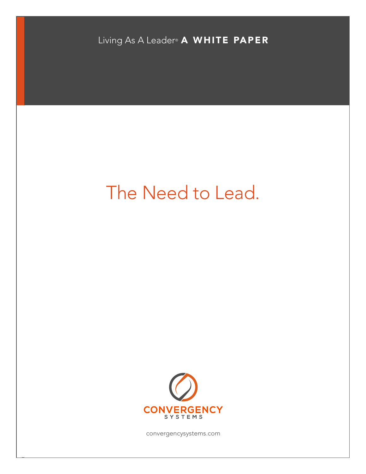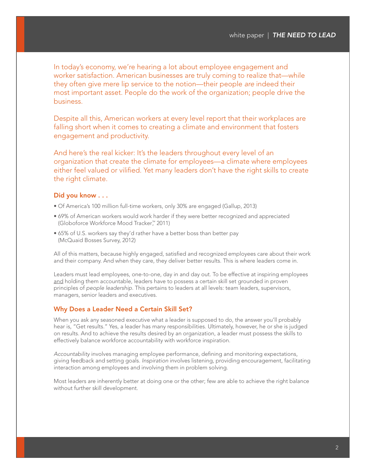In today's economy, we're hearing a lot about employee engagement and worker satisfaction. American businesses are truly coming to realize that—while they often give mere lip service to the notion—their people *are* indeed their most important asset. People do the work of the organization; people drive the business.

Despite all this, American workers at every level report that their workplaces are falling short when it comes to creating a climate and environment that fosters engagement and productivity.

And here's the real kicker: It's the leaders throughout every level of an organization that create the climate for employees—a climate where employees either feel valued or vilified. Yet many leaders don't have the right skills to create the right climate.

# Did you know . . .

- Of America's 100 million full-time workers, only 30% are engaged (Gallup, 2013)
- 69% of American workers would work harder if they were better recognized and appreciated (Globoforce Workforce Mood Tracker™, 2011)
- 65% of U.S. workers say they'd rather have a better boss than better pay (McQuaid Bosses Survey, 2012)

All of this matters, because highly engaged, satisfied and recognized employees care about their work and their company. And when they care, they deliver better results. This is where leaders come in.

Leaders must lead employees, one-to-one, day in and day out. To be effective at inspiring employees and holding them accountable, leaders have to possess a certain skill set grounded in proven principles of *people leadership.* This pertains to leaders at all levels: team leaders, supervisors, managers, senior leaders and executives.

#### Why Does a Leader Need a Certain Skill Set?

When you ask any seasoned executive what a leader is supposed to do, the answer you'll probably hear is, "Get results." Yes, a leader has many responsibilities. Ultimately, however, he or she is judged on results. And to achieve the results desired by an organization, a leader must possess the skills to effectively balance workforce accountability with workforce inspiration.

*Accountability* involves managing employee performance, defining and monitoring expectations, giving feedback and setting goals. *Inspiration* involves listening, providing encouragement, facilitating interaction among employees and involving them in problem solving.

Most leaders are inherently better at doing one or the other; few are able to achieve the right balance without further skill development.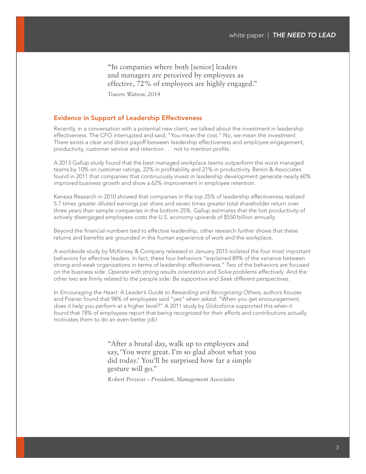**"**In companies where both [senior] leaders and managers are perceived by employees as effective, 72% of employees are highly engaged." *Towers Watson, 2014*

### Evidence in Support of Leadership Effectiveness

Recently, in a conversation with a potential new client, we talked about the *investment* in leadership effectiveness. The CFO interrupted and said, "You mean the cost." No, we mean the *investment.* There exists a clear and direct payoff between leadership effectiveness and employee engagement, productivity, customer service and retention . . . not to mention profits.

A 2013 Gallup study found that the best managed workplace teams outperform the worst managed teams by 10% on customer ratings, 22% in profitability and 21% in productivity. Bersin & Associates found in 2011 that companies that continuously invest in leadership development generate nearly 60% improved business growth and show a 62% improvement in employee retention.

Kenexa Research in 2010 showed that companies in the top 25% of leadership effectiveness realized 5.7 times greater diluted earnings per share and seven times greater total shareholder return over three years than sample companies in the bottom 25%. Gallup estimates that the lost productivity of actively disengaged employees costs the U.S. economy upwards of \$550 billion annually.

Beyond the financial numbers tied to effective leadership, other research further shows that these returns and benefits are grounded in the *human experience* of work and the workplace.

A worldwide study by McKinsey & Company released in January 2015 isolated the four most important behaviors for effective leaders. In fact, these four behaviors "explained 89% of the variance between strong and weak organizations in terms of leadership effectiveness." Two of the behaviors are focused on the business side: *Operate with strong results orientation* and *Solve problems effectively*. And the other two are firmly related to the people side: *Be supportive* and *Seek different perspectives.*

In *Encouraging the Heart: A Leader's Guide to Rewarding and Recognizing Others,* authors Kouzes and Posner found that 98% of employees said "yes" when asked: "When you get encouragement, does it help you perform at a higher level?" A 2011 study by Globoforce supported this when it found that 78% of employees report that being recognized for their efforts and contributions actually motivates them to do an even better job!

> "After a brutal day, walk up to employees and say, 'You were great. I'm so glad about what you did today.' You'll be surprised how far a simple gesture will go."

*Robert Preziosi – President, Management Associates*